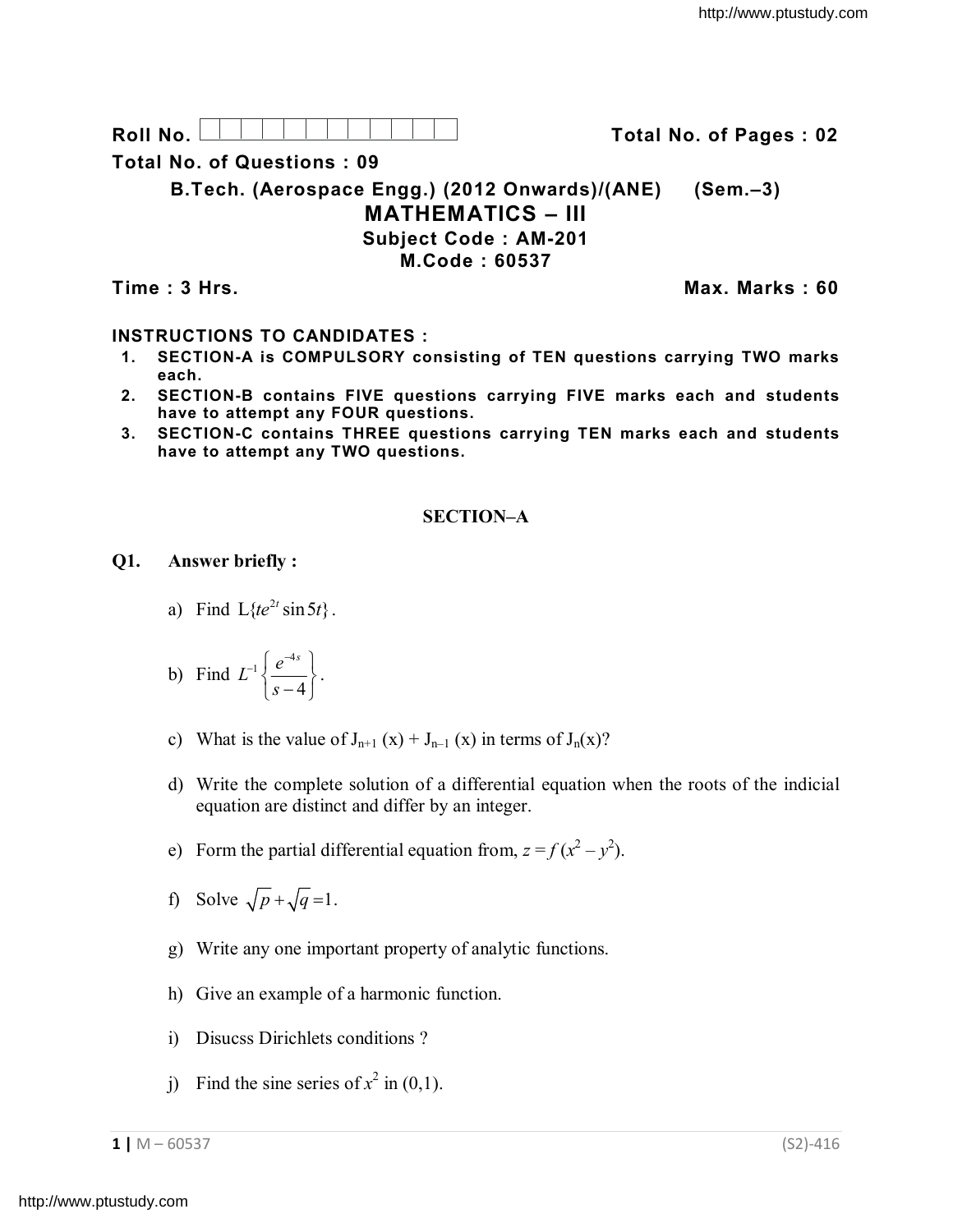Roll No. **No. All Accords** Total No. of Pages : 02

**Total No. of Questions : 09**

**B.Tech. (Aerospace Engg.) (2012 Onwards)/(ANE) (Sem.–3) MATHEMATICS – III Subject Code : AM-201 M.Code : 60537**

**Time : 3 Hrs. Max. Marks : 60**

# **INSTRUCTIONS TO CANDIDATES :**

- **1. SECTION-A is COMPULSORY consisting of TEN questions carrying TWO marks each.**
- **2. SECTION-B contains FIVE questions carrying FIVE marks each and students have to attempt any FOUR questions.**
- **3. SECTION-C contains THREE questions carrying TEN marks each and students have to attempt any TWO questions.**

### **SECTION–A**

**Q1. Answer briefly :**

- a) Find  $L\{te^{2t}\sin 5t\}$ .
- b) Find  $_1 \int e^{-4}$ 4  $L^{-1}\left\{\frac{e^{-4s}}{2}\right\}$ *s*  $e^{-1}\left\{\frac{e^{-4s}}{s-4}\right\}.$
- c) What is the value of  $J_{n+1}(x) + J_{n-1}(x)$  in terms of  $J_n(x)$ ?
- d) Write the complete solution of a differential equation when the roots of the indicial equation are distinct and differ by an integer.
- e) Form the partial differential equation from,  $z = f(x^2 y^2)$ .
- f) Solve  $\sqrt{p} + \sqrt{q} = 1$ .
- g) Write any one important property of analytic functions.
- h) Give an example of a harmonic function.
- i) Disucss Dirichlets conditions ?
- j) Find the sine series of  $x^2$  in (0,1).

**1 |** M – 60537 (S2)-416